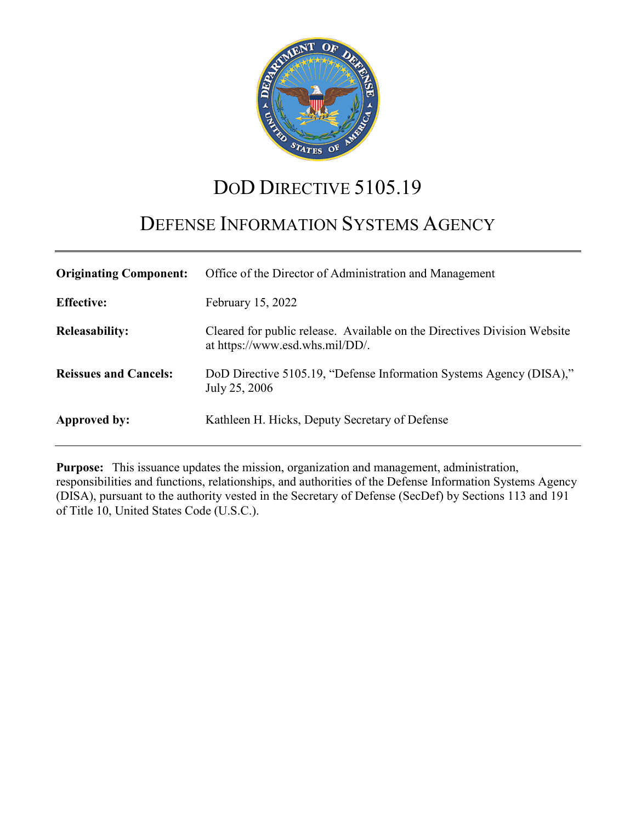

# DOD DIRECTIVE 5105.19

# DEFENSE INFORMATION SYSTEMS AGENCY

| <b>Originating Component:</b> | Office of the Director of Administration and Management                                                     |
|-------------------------------|-------------------------------------------------------------------------------------------------------------|
| <b>Effective:</b>             | February 15, 2022                                                                                           |
| <b>Releasability:</b>         | Cleared for public release. Available on the Directives Division Website<br>at https://www.esd.whs.mil/DD/. |
| <b>Reissues and Cancels:</b>  | DoD Directive 5105.19, "Defense Information Systems Agency (DISA),"<br>July 25, 2006                        |
| Approved by:                  | Kathleen H. Hicks, Deputy Secretary of Defense                                                              |

**Purpose:** This issuance updates the mission, organization and management, administration, responsibilities and functions, relationships, and authorities of the Defense Information Systems Agency (DISA), pursuant to the authority vested in the Secretary of Defense (SecDef) by Sections 113 and 191 of Title 10, United States Code (U.S.C.).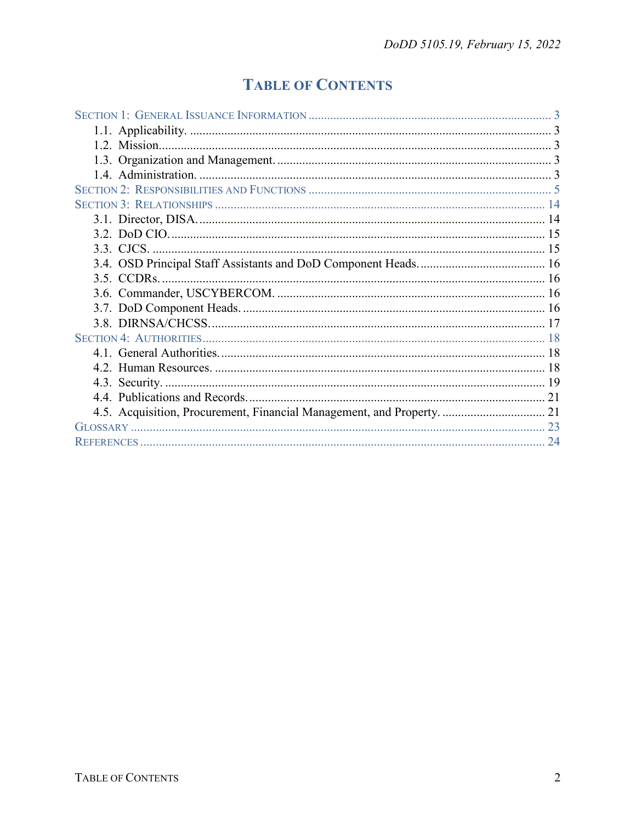## **TABLE OF CONTENTS**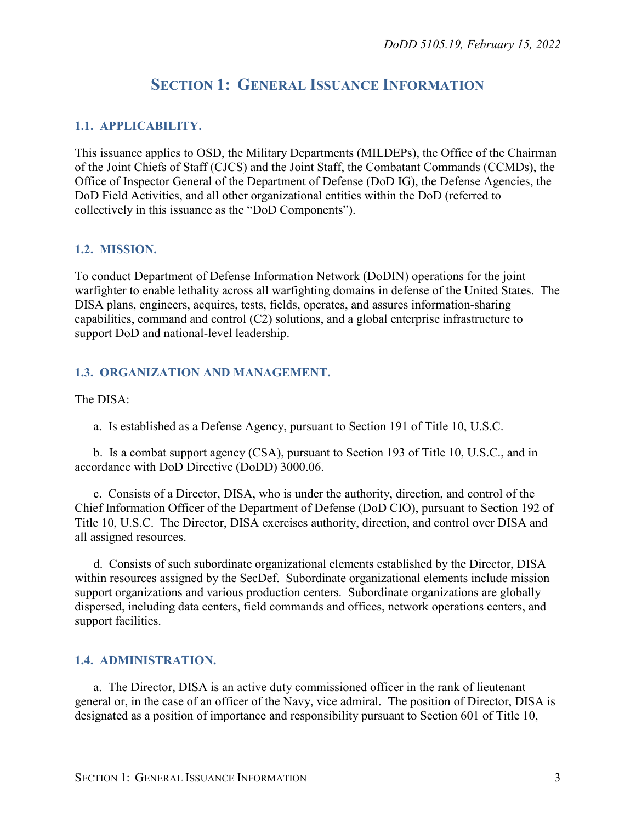## **SECTION 1: GENERAL ISSUANCE INFORMATION**

#### <span id="page-2-1"></span><span id="page-2-0"></span>**1.1. APPLICABILITY.**

This issuance applies to OSD, the Military Departments (MILDEPs), the Office of the Chairman of the Joint Chiefs of Staff (CJCS) and the Joint Staff, the Combatant Commands (CCMDs), the Office of Inspector General of the Department of Defense (DoD IG), the Defense Agencies, the DoD Field Activities, and all other organizational entities within the DoD (referred to collectively in this issuance as the "DoD Components").

#### <span id="page-2-2"></span>**1.2. MISSION.**

To conduct Department of Defense Information Network (DoDIN) operations for the joint warfighter to enable lethality across all warfighting domains in defense of the United States. The DISA plans, engineers, acquires, tests, fields, operates, and assures information-sharing capabilities, command and control (C2) solutions, and a global enterprise infrastructure to support DoD and national-level leadership.

#### <span id="page-2-3"></span>**1.3. ORGANIZATION AND MANAGEMENT.**

The DISA:

a. Is established as a Defense Agency, pursuant to Section 191 of Title 10, U.S.C.

b. Is a combat support agency (CSA), pursuant to Section 193 of Title 10, U.S.C., and in accordance with DoD Directive (DoDD) 3000.06.

c. Consists of a Director, DISA, who is under the authority, direction, and control of the Chief Information Officer of the Department of Defense (DoD CIO), pursuant to Section 192 of Title 10, U.S.C. The Director, DISA exercises authority, direction, and control over DISA and all assigned resources.

d. Consists of such subordinate organizational elements established by the Director, DISA within resources assigned by the SecDef. Subordinate organizational elements include mission support organizations and various production centers. Subordinate organizations are globally dispersed, including data centers, field commands and offices, network operations centers, and support facilities.

#### <span id="page-2-4"></span>**1.4. ADMINISTRATION.**

a. The Director, DISA is an active duty commissioned officer in the rank of lieutenant general or, in the case of an officer of the Navy, vice admiral. The position of Director, DISA is designated as a position of importance and responsibility pursuant to Section 601 of Title 10,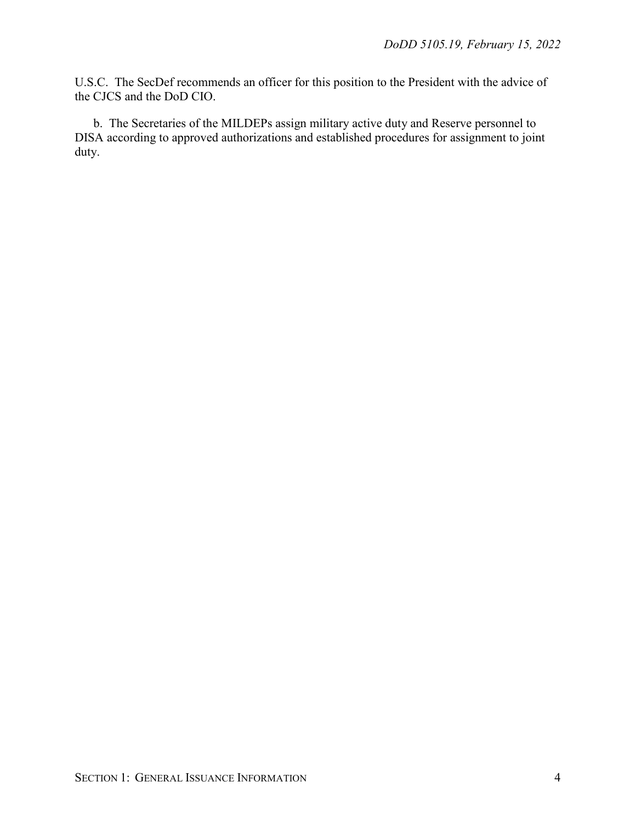U.S.C. The SecDef recommends an officer for this position to the President with the advice of the CJCS and the DoD CIO.

b. The Secretaries of the MILDEPs assign military active duty and Reserve personnel to DISA according to approved authorizations and established procedures for assignment to joint duty.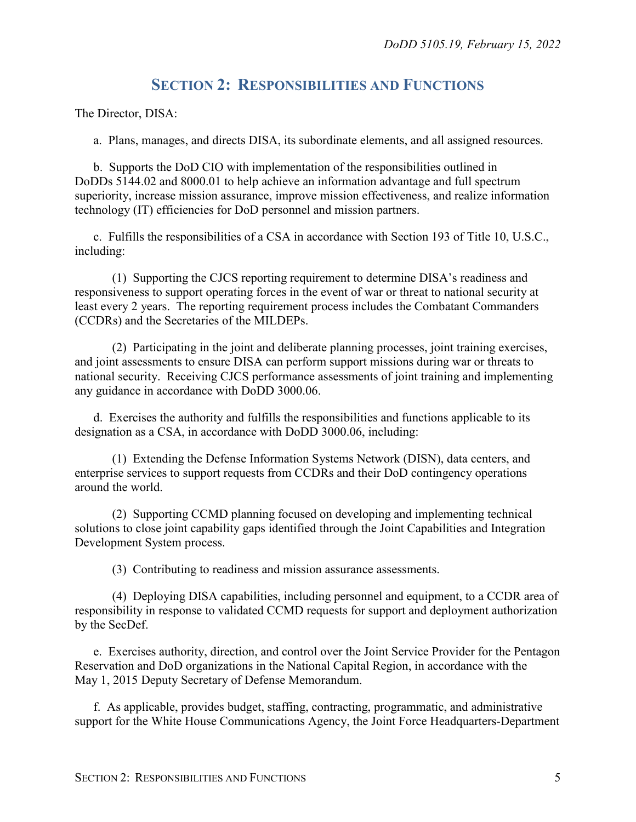## **SECTION 2: RESPONSIBILITIES AND FUNCTIONS**

<span id="page-4-0"></span>The Director, DISA:

a. Plans, manages, and directs DISA, its subordinate elements, and all assigned resources.

b. Supports the DoD CIO with implementation of the responsibilities outlined in DoDDs 5144.02 and 8000.01 to help achieve an information advantage and full spectrum superiority, increase mission assurance, improve mission effectiveness, and realize information technology (IT) efficiencies for DoD personnel and mission partners.

c. Fulfills the responsibilities of a CSA in accordance with Section 193 of Title 10, U.S.C., including:

(1) Supporting the CJCS reporting requirement to determine DISA's readiness and responsiveness to support operating forces in the event of war or threat to national security at least every 2 years. The reporting requirement process includes the Combatant Commanders (CCDRs) and the Secretaries of the MILDEPs.

(2) Participating in the joint and deliberate planning processes, joint training exercises, and joint assessments to ensure DISA can perform support missions during war or threats to national security. Receiving CJCS performance assessments of joint training and implementing any guidance in accordance with DoDD 3000.06.

d. Exercises the authority and fulfills the responsibilities and functions applicable to its designation as a CSA, in accordance with DoDD 3000.06, including:

(1) Extending the Defense Information Systems Network (DISN), data centers, and enterprise services to support requests from CCDRs and their DoD contingency operations around the world.

(2) Supporting CCMD planning focused on developing and implementing technical solutions to close joint capability gaps identified through the Joint Capabilities and Integration Development System process.

(3) Contributing to readiness and mission assurance assessments.

(4) Deploying DISA capabilities, including personnel and equipment, to a CCDR area of responsibility in response to validated CCMD requests for support and deployment authorization by the SecDef.

e. Exercises authority, direction, and control over the Joint Service Provider for the Pentagon Reservation and DoD organizations in the National Capital Region, in accordance with the May 1, 2015 Deputy Secretary of Defense Memorandum.

f. As applicable, provides budget, staffing, contracting, programmatic, and administrative support for the White House Communications Agency, the Joint Force Headquarters-Department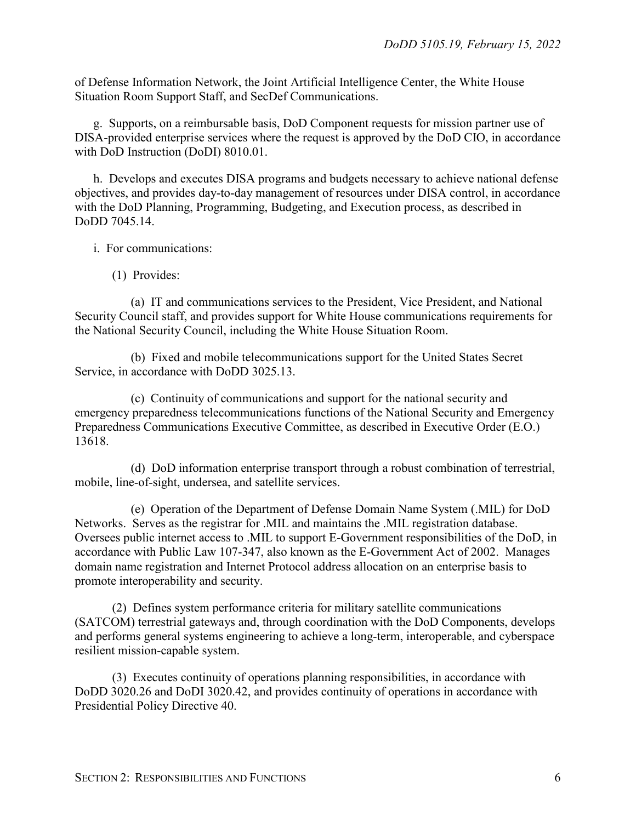of Defense Information Network, the Joint Artificial Intelligence Center, the White House Situation Room Support Staff, and SecDef Communications.

g. Supports, on a reimbursable basis, DoD Component requests for mission partner use of DISA-provided enterprise services where the request is approved by the DoD CIO, in accordance with DoD Instruction (DoDI) 8010.01.

h. Develops and executes DISA programs and budgets necessary to achieve national defense objectives, and provides day-to-day management of resources under DISA control, in accordance with the DoD Planning, Programming, Budgeting, and Execution process, as described in DoDD 7045.14.

i. For communications:

(1) Provides:

(a) IT and communications services to the President, Vice President, and National Security Council staff, and provides support for White House communications requirements for the National Security Council, including the White House Situation Room.

(b) Fixed and mobile telecommunications support for the United States Secret Service, in accordance with DoDD 3025.13.

(c) Continuity of communications and support for the national security and emergency preparedness telecommunications functions of the National Security and Emergency Preparedness Communications Executive Committee, as described in Executive Order (E.O.) 13618.

(d) DoD information enterprise transport through a robust combination of terrestrial, mobile, line-of-sight, undersea, and satellite services.

(e) Operation of the Department of Defense Domain Name System (.MIL) for DoD Networks. Serves as the registrar for .MIL and maintains the .MIL registration database. Oversees public internet access to .MIL to support E-Government responsibilities of the DoD, in accordance with Public Law 107-347, also known as the E-Government Act of 2002. Manages domain name registration and Internet Protocol address allocation on an enterprise basis to promote interoperability and security.

(2) Defines system performance criteria for military satellite communications (SATCOM) terrestrial gateways and, through coordination with the DoD Components, develops and performs general systems engineering to achieve a long-term, interoperable, and cyberspace resilient mission-capable system.

(3) Executes continuity of operations planning responsibilities, in accordance with DoDD 3020.26 and DoDI 3020.42, and provides continuity of operations in accordance with Presidential Policy Directive 40.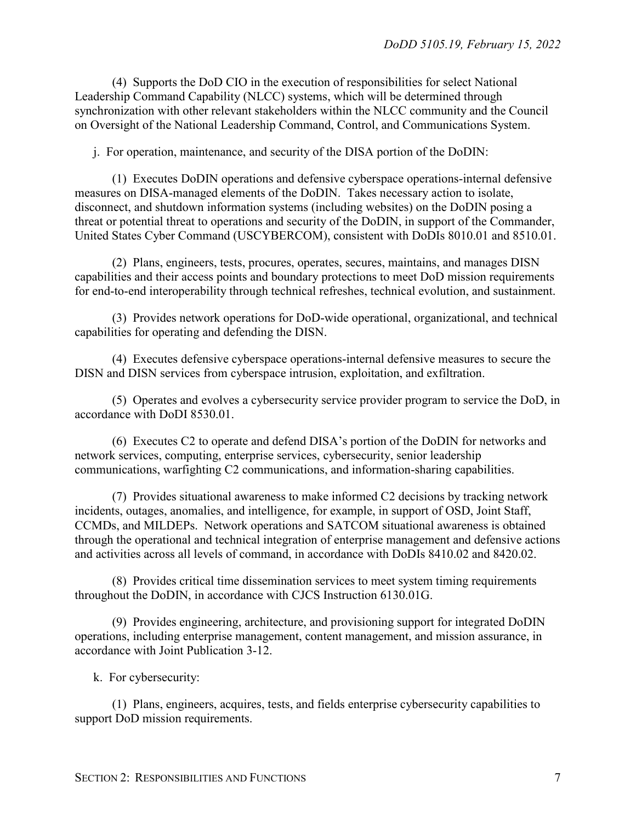(4) Supports the DoD CIO in the execution of responsibilities for select National Leadership Command Capability (NLCC) systems, which will be determined through synchronization with other relevant stakeholders within the NLCC community and the Council on Oversight of the National Leadership Command, Control, and Communications System.

j. For operation, maintenance, and security of the DISA portion of the DoDIN:

(1) Executes DoDIN operations and defensive cyberspace operations-internal defensive measures on DISA-managed elements of the DoDIN. Takes necessary action to isolate, disconnect, and shutdown information systems (including websites) on the DoDIN posing a threat or potential threat to operations and security of the DoDIN, in support of the Commander, United States Cyber Command (USCYBERCOM), consistent with DoDIs 8010.01 and 8510.01.

(2) Plans, engineers, tests, procures, operates, secures, maintains, and manages DISN capabilities and their access points and boundary protections to meet DoD mission requirements for end-to-end interoperability through technical refreshes, technical evolution, and sustainment.

(3) Provides network operations for DoD-wide operational, organizational, and technical capabilities for operating and defending the DISN.

(4) Executes defensive cyberspace operations-internal defensive measures to secure the DISN and DISN services from cyberspace intrusion, exploitation, and exfiltration.

(5) Operates and evolves a cybersecurity service provider program to service the DoD, in accordance with DoDI 8530.01.

(6) Executes C2 to operate and defend DISA's portion of the DoDIN for networks and network services, computing, enterprise services, cybersecurity, senior leadership communications, warfighting C2 communications, and information-sharing capabilities.

(7) Provides situational awareness to make informed C2 decisions by tracking network incidents, outages, anomalies, and intelligence, for example, in support of OSD, Joint Staff, CCMDs, and MILDEPs. Network operations and SATCOM situational awareness is obtained through the operational and technical integration of enterprise management and defensive actions and activities across all levels of command, in accordance with DoDIs 8410.02 and 8420.02.

(8) Provides critical time dissemination services to meet system timing requirements throughout the DoDIN, in accordance with CJCS Instruction 6130.01G.

(9) Provides engineering, architecture, and provisioning support for integrated DoDIN operations, including enterprise management, content management, and mission assurance, in accordance with Joint Publication 3-12.

k. For cybersecurity:

(1) Plans, engineers, acquires, tests, and fields enterprise cybersecurity capabilities to support DoD mission requirements.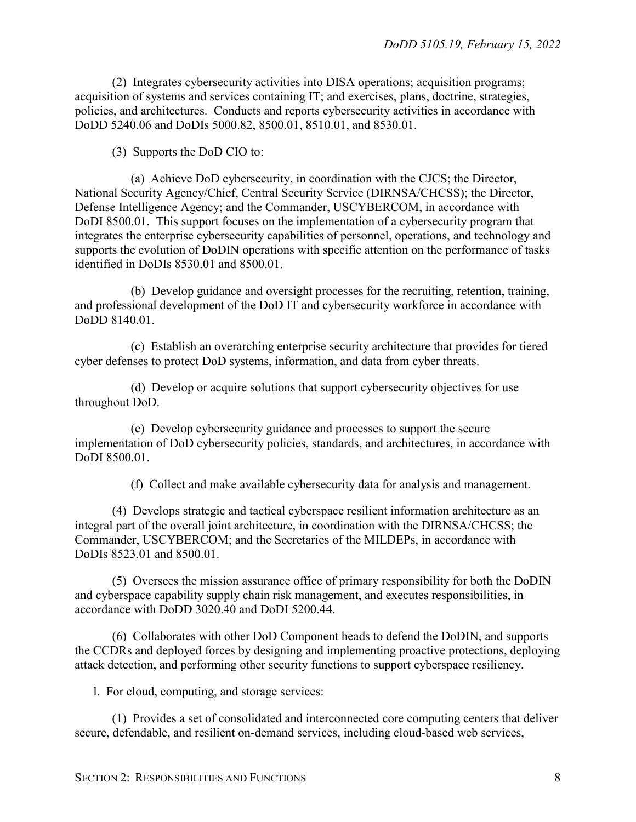(2) Integrates cybersecurity activities into DISA operations; acquisition programs; acquisition of systems and services containing IT; and exercises, plans, doctrine, strategies, policies, and architectures. Conducts and reports cybersecurity activities in accordance with DoDD 5240.06 and DoDIs 5000.82, 8500.01, 8510.01, and 8530.01.

(3) Supports the DoD CIO to:

(a) Achieve DoD cybersecurity, in coordination with the CJCS; the Director, National Security Agency/Chief, Central Security Service (DIRNSA/CHCSS); the Director, Defense Intelligence Agency; and the Commander, USCYBERCOM, in accordance with DoDI 8500.01. This support focuses on the implementation of a cybersecurity program that integrates the enterprise cybersecurity capabilities of personnel, operations, and technology and supports the evolution of DoDIN operations with specific attention on the performance of tasks identified in DoDIs 8530.01 and 8500.01.

(b) Develop guidance and oversight processes for the recruiting, retention, training, and professional development of the DoD IT and cybersecurity workforce in accordance with DoDD 8140.01.

(c) Establish an overarching enterprise security architecture that provides for tiered cyber defenses to protect DoD systems, information, and data from cyber threats.

(d) Develop or acquire solutions that support cybersecurity objectives for use throughout DoD.

(e) Develop cybersecurity guidance and processes to support the secure implementation of DoD cybersecurity policies, standards, and architectures, in accordance with DoDI 8500.01.

(f) Collect and make available cybersecurity data for analysis and management.

(4) Develops strategic and tactical cyberspace resilient information architecture as an integral part of the overall joint architecture, in coordination with the DIRNSA/CHCSS; the Commander, USCYBERCOM; and the Secretaries of the MILDEPs, in accordance with DoDIs 8523.01 and 8500.01.

(5) Oversees the mission assurance office of primary responsibility for both the DoDIN and cyberspace capability supply chain risk management, and executes responsibilities, in accordance with DoDD 3020.40 and DoDI 5200.44.

(6) Collaborates with other DoD Component heads to defend the DoDIN, and supports the CCDRs and deployed forces by designing and implementing proactive protections, deploying attack detection, and performing other security functions to support cyberspace resiliency.

l. For cloud, computing, and storage services:

(1) Provides a set of consolidated and interconnected core computing centers that deliver secure, defendable, and resilient on-demand services, including cloud-based web services,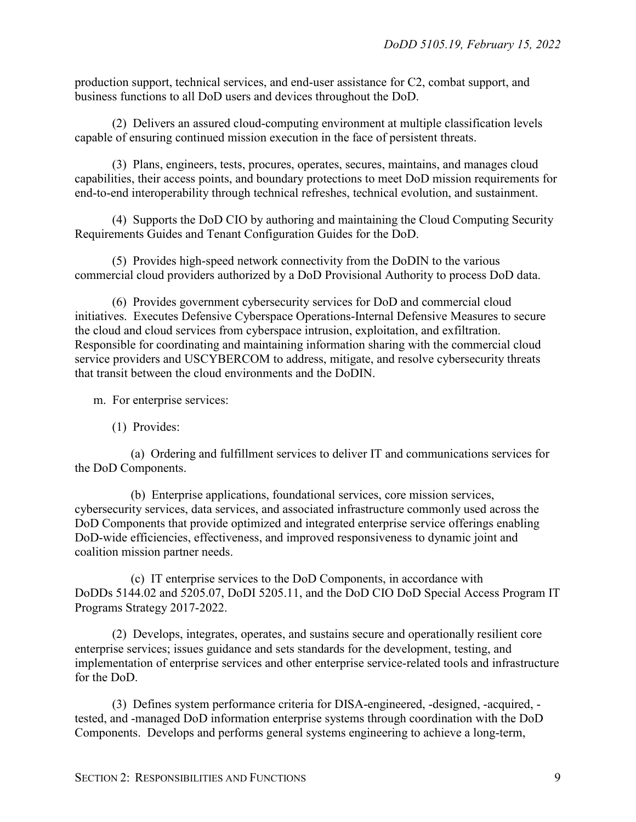production support, technical services, and end-user assistance for C2, combat support, and business functions to all DoD users and devices throughout the DoD.

(2) Delivers an assured cloud-computing environment at multiple classification levels capable of ensuring continued mission execution in the face of persistent threats.

(3) Plans, engineers, tests, procures, operates, secures, maintains, and manages cloud capabilities, their access points, and boundary protections to meet DoD mission requirements for end-to-end interoperability through technical refreshes, technical evolution, and sustainment.

(4) Supports the DoD CIO by authoring and maintaining the Cloud Computing Security Requirements Guides and Tenant Configuration Guides for the DoD.

(5) Provides high-speed network connectivity from the DoDIN to the various commercial cloud providers authorized by a DoD Provisional Authority to process DoD data.

(6) Provides government cybersecurity services for DoD and commercial cloud initiatives. Executes Defensive Cyberspace Operations-Internal Defensive Measures to secure the cloud and cloud services from cyberspace intrusion, exploitation, and exfiltration. Responsible for coordinating and maintaining information sharing with the commercial cloud service providers and USCYBERCOM to address, mitigate, and resolve cybersecurity threats that transit between the cloud environments and the DoDIN.

m. For enterprise services:

(1) Provides:

(a) Ordering and fulfillment services to deliver IT and communications services for the DoD Components.

(b) Enterprise applications, foundational services, core mission services, cybersecurity services, data services, and associated infrastructure commonly used across the DoD Components that provide optimized and integrated enterprise service offerings enabling DoD-wide efficiencies, effectiveness, and improved responsiveness to dynamic joint and coalition mission partner needs.

(c) IT enterprise services to the DoD Components, in accordance with DoDDs 5144.02 and 5205.07, DoDI 5205.11, and the DoD CIO DoD Special Access Program IT Programs Strategy 2017-2022.

(2) Develops, integrates, operates, and sustains secure and operationally resilient core enterprise services; issues guidance and sets standards for the development, testing, and implementation of enterprise services and other enterprise service-related tools and infrastructure for the DoD.

(3) Defines system performance criteria for DISA-engineered, -designed, -acquired, tested, and -managed DoD information enterprise systems through coordination with the DoD Components. Develops and performs general systems engineering to achieve a long-term,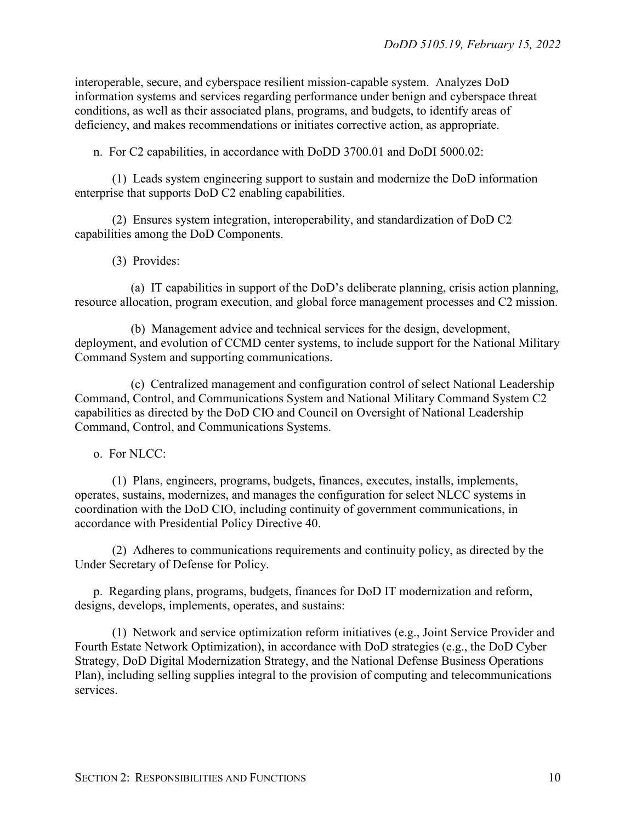interoperable, secure, and cyberspace resilient mission-capable system. Analyzes DoD information systems and services regarding performance under benign and cyberspace threat conditions, as well as their associated plans, programs, and budgets, to identify areas of deficiency, and makes recommendations or initiates corrective action, as appropriate.

n. For C2 capabilities, in accordance with DoDD 3700.01 and DoDI 5000.02:

(1) Leads system engineering support to sustain and modernize the DoD information enterprise that supports DoD C2 enabling capabilities.

(2) Ensures system integration, interoperability, and standardization of DoD C2 capabilities among the DoD Components.

(3) Provides:

(a) IT capabilities in support of the DoD's deliberate planning, crisis action planning, resource allocation, program execution, and global force management processes and C2 mission.

(b) Management advice and technical services for the design, development, deployment, and evolution of CCMD center systems, to include support for the National Military Command System and supporting communications.

(c) Centralized management and configuration control of select National Leadership Command, Control, and Communications System and National Military Command System C2 capabilities as directed by the DoD CIO and Council on Oversight of National Leadership Command, Control, and Communications Systems.

o. For NLCC:

(1) Plans, engineers, programs, budgets, finances, executes, installs, implements, operates, sustains, modernizes, and manages the configuration for select NLCC systems in coordination with the DoD CIO, including continuity of government communications, in accordance with Presidential Policy Directive 40.

(2) Adheres to communications requirements and continuity policy, as directed by the Under Secretary of Defense for Policy.

p. Regarding plans, programs, budgets, finances for DoD IT modernization and reform, designs, develops, implements, operates, and sustains:

(1) Network and service optimization reform initiatives (e.g., Joint Service Provider and Fourth Estate Network Optimization), in accordance with DoD strategies (e.g., the DoD Cyber Strategy, DoD Digital Modernization Strategy, and the National Defense Business Operations Plan), including selling supplies integral to the provision of computing and telecommunications services.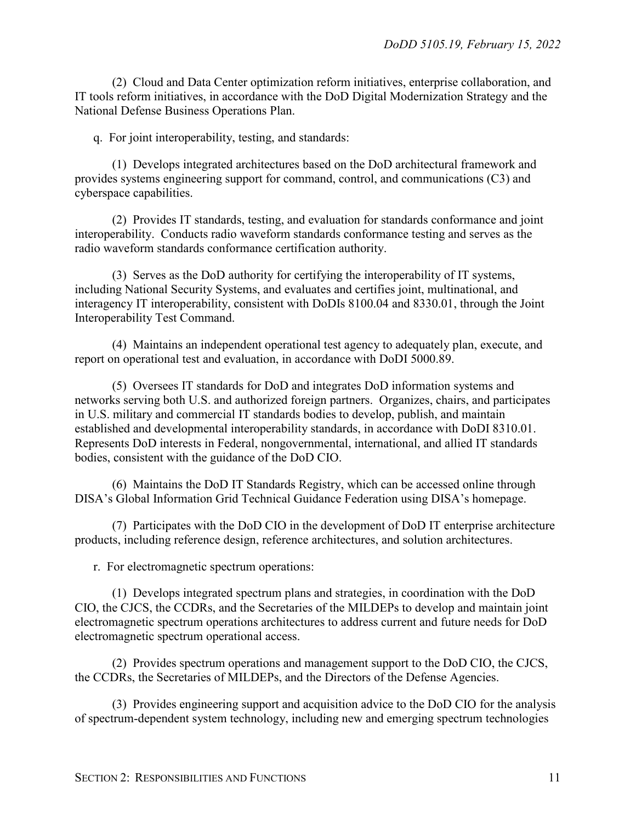(2) Cloud and Data Center optimization reform initiatives, enterprise collaboration, and IT tools reform initiatives, in accordance with the DoD Digital Modernization Strategy and the National Defense Business Operations Plan.

q. For joint interoperability, testing, and standards:

(1) Develops integrated architectures based on the DoD architectural framework and provides systems engineering support for command, control, and communications (C3) and cyberspace capabilities.

(2) Provides IT standards, testing, and evaluation for standards conformance and joint interoperability. Conducts radio waveform standards conformance testing and serves as the radio waveform standards conformance certification authority.

(3) Serves as the DoD authority for certifying the interoperability of IT systems, including National Security Systems, and evaluates and certifies joint, multinational, and interagency IT interoperability, consistent with DoDIs 8100.04 and 8330.01, through the Joint Interoperability Test Command.

(4) Maintains an independent operational test agency to adequately plan, execute, and report on operational test and evaluation, in accordance with DoDI 5000.89.

(5) Oversees IT standards for DoD and integrates DoD information systems and networks serving both U.S. and authorized foreign partners. Organizes, chairs, and participates in U.S. military and commercial IT standards bodies to develop, publish, and maintain established and developmental interoperability standards, in accordance with DoDI 8310.01. Represents DoD interests in Federal, nongovernmental, international, and allied IT standards bodies, consistent with the guidance of the DoD CIO.

(6) Maintains the DoD IT Standards Registry, which can be accessed online through DISA's Global Information Grid Technical Guidance Federation using DISA's homepage.

(7) Participates with the DoD CIO in the development of DoD IT enterprise architecture products, including reference design, reference architectures, and solution architectures.

r. For electromagnetic spectrum operations:

(1) Develops integrated spectrum plans and strategies, in coordination with the DoD CIO, the CJCS, the CCDRs, and the Secretaries of the MILDEPs to develop and maintain joint electromagnetic spectrum operations architectures to address current and future needs for DoD electromagnetic spectrum operational access.

(2) Provides spectrum operations and management support to the DoD CIO, the CJCS, the CCDRs, the Secretaries of MILDEPs, and the Directors of the Defense Agencies.

(3) Provides engineering support and acquisition advice to the DoD CIO for the analysis of spectrum-dependent system technology, including new and emerging spectrum technologies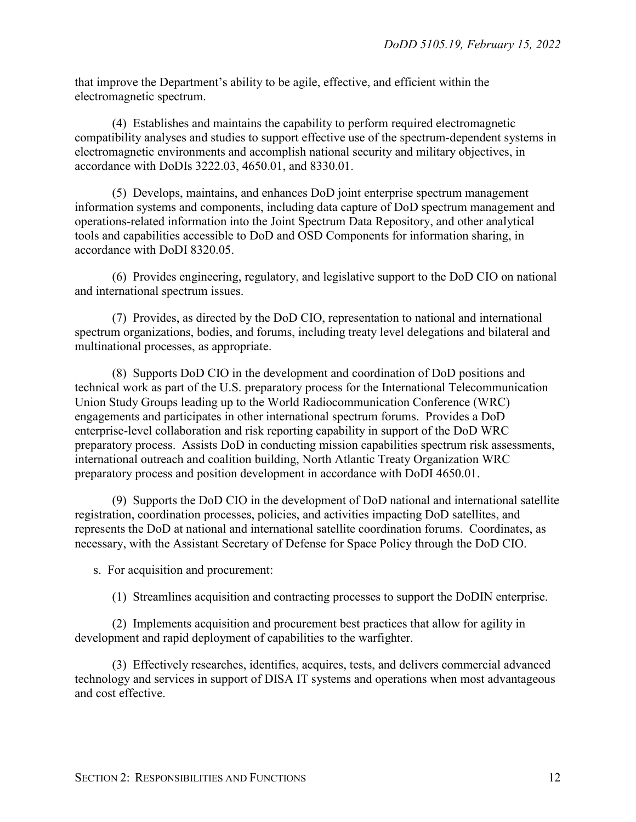that improve the Department's ability to be agile, effective, and efficient within the electromagnetic spectrum.

(4) Establishes and maintains the capability to perform required electromagnetic compatibility analyses and studies to support effective use of the spectrum-dependent systems in electromagnetic environments and accomplish national security and military objectives, in accordance with DoDIs 3222.03, 4650.01, and 8330.01.

(5) Develops, maintains, and enhances DoD joint enterprise spectrum management information systems and components, including data capture of DoD spectrum management and operations-related information into the Joint Spectrum Data Repository, and other analytical tools and capabilities accessible to DoD and OSD Components for information sharing, in accordance with DoDI 8320.05.

(6) Provides engineering, regulatory, and legislative support to the DoD CIO on national and international spectrum issues.

(7) Provides, as directed by the DoD CIO, representation to national and international spectrum organizations, bodies, and forums, including treaty level delegations and bilateral and multinational processes, as appropriate.

(8) Supports DoD CIO in the development and coordination of DoD positions and technical work as part of the U.S. preparatory process for the International Telecommunication Union Study Groups leading up to the World Radiocommunication Conference (WRC) engagements and participates in other international spectrum forums. Provides a DoD enterprise‐level collaboration and risk reporting capability in support of the DoD WRC preparatory process. Assists DoD in conducting mission capabilities spectrum risk assessments, international outreach and coalition building, North Atlantic Treaty Organization WRC preparatory process and position development in accordance with DoDI 4650.01.

(9) Supports the DoD CIO in the development of DoD national and international satellite registration, coordination processes, policies, and activities impacting DoD satellites, and represents the DoD at national and international satellite coordination forums. Coordinates, as necessary, with the Assistant Secretary of Defense for Space Policy through the DoD CIO.

s. For acquisition and procurement:

(1) Streamlines acquisition and contracting processes to support the DoDIN enterprise.

(2) Implements acquisition and procurement best practices that allow for agility in development and rapid deployment of capabilities to the warfighter.

(3) Effectively researches, identifies, acquires, tests, and delivers commercial advanced technology and services in support of DISA IT systems and operations when most advantageous and cost effective.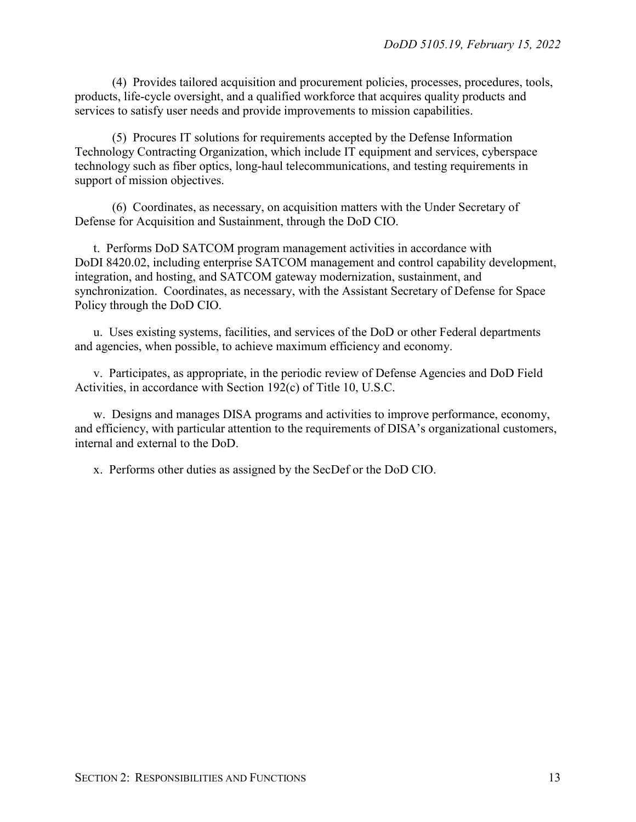(4) Provides tailored acquisition and procurement policies, processes, procedures, tools, products, life-cycle oversight, and a qualified workforce that acquires quality products and services to satisfy user needs and provide improvements to mission capabilities.

(5) Procures IT solutions for requirements accepted by the Defense Information Technology Contracting Organization, which include IT equipment and services, cyberspace technology such as fiber optics, long-haul telecommunications, and testing requirements in support of mission objectives.

(6) Coordinates, as necessary, on acquisition matters with the Under Secretary of Defense for Acquisition and Sustainment, through the DoD CIO.

t. Performs DoD SATCOM program management activities in accordance with DoDI 8420.02, including enterprise SATCOM management and control capability development, integration, and hosting, and SATCOM gateway modernization, sustainment, and synchronization. Coordinates, as necessary, with the Assistant Secretary of Defense for Space Policy through the DoD CIO.

u. Uses existing systems, facilities, and services of the DoD or other Federal departments and agencies, when possible, to achieve maximum efficiency and economy.

v. Participates, as appropriate, in the periodic review of Defense Agencies and DoD Field Activities, in accordance with Section 192(c) of Title 10, U.S.C.

w. Designs and manages DISA programs and activities to improve performance, economy, and efficiency, with particular attention to the requirements of DISA's organizational customers, internal and external to the DoD.

x. Performs other duties as assigned by the SecDef or the DoD CIO.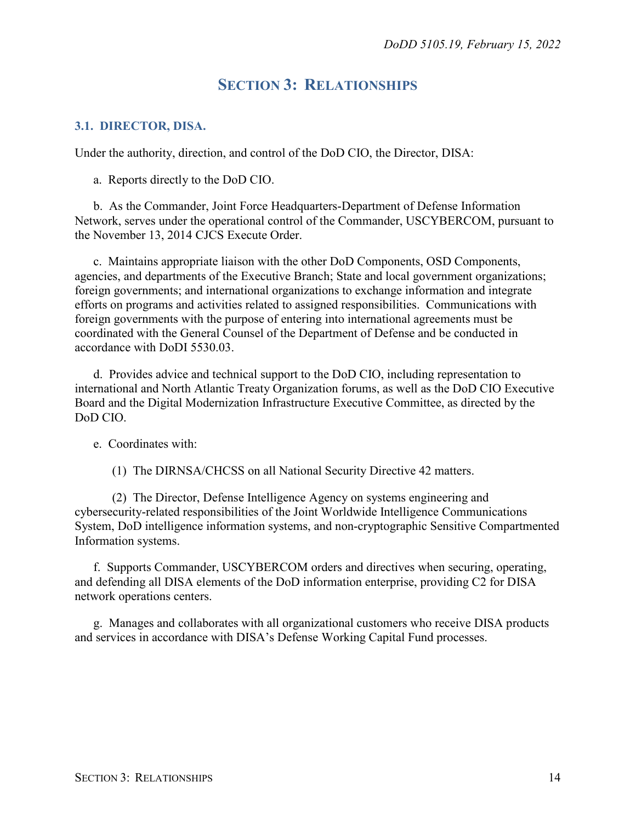### **SECTION 3: RELATIONSHIPS**

#### <span id="page-13-1"></span><span id="page-13-0"></span>**3.1. DIRECTOR, DISA.**

Under the authority, direction, and control of the DoD CIO, the Director, DISA:

a. Reports directly to the DoD CIO.

b. As the Commander, Joint Force Headquarters-Department of Defense Information Network, serves under the operational control of the Commander, USCYBERCOM, pursuant to the November 13, 2014 CJCS Execute Order.

c. Maintains appropriate liaison with the other DoD Components, OSD Components, agencies, and departments of the Executive Branch; State and local government organizations; foreign governments; and international organizations to exchange information and integrate efforts on programs and activities related to assigned responsibilities. Communications with foreign governments with the purpose of entering into international agreements must be coordinated with the General Counsel of the Department of Defense and be conducted in accordance with DoDI 5530.03.

d. Provides advice and technical support to the DoD CIO, including representation to international and North Atlantic Treaty Organization forums, as well as the DoD CIO Executive Board and the Digital Modernization Infrastructure Executive Committee, as directed by the DoD CIO.

e. Coordinates with:

(1) The DIRNSA/CHCSS on all National Security Directive 42 matters.

(2) The Director, Defense Intelligence Agency on systems engineering and cybersecurity-related responsibilities of the Joint Worldwide Intelligence Communications System, DoD intelligence information systems, and non-cryptographic Sensitive Compartmented Information systems.

f. Supports Commander, USCYBERCOM orders and directives when securing, operating, and defending all DISA elements of the DoD information enterprise, providing C2 for DISA network operations centers.

g. Manages and collaborates with all organizational customers who receive DISA products and services in accordance with DISA's Defense Working Capital Fund processes.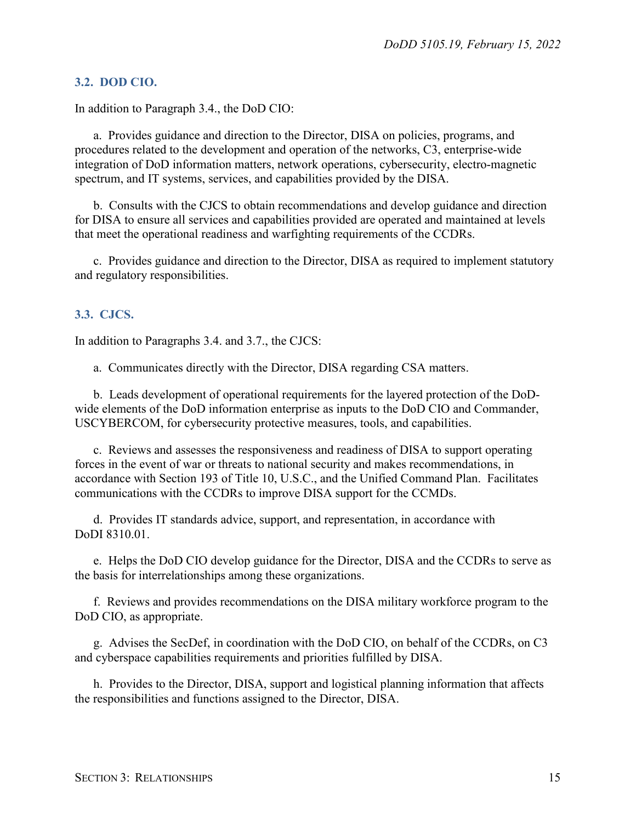#### <span id="page-14-0"></span>**3.2. DOD CIO.**

In addition to Paragraph 3.4., the DoD CIO:

a. Provides guidance and direction to the Director, DISA on policies, programs, and procedures related to the development and operation of the networks, C3, enterprise-wide integration of DoD information matters, network operations, cybersecurity, electro-magnetic spectrum, and IT systems, services, and capabilities provided by the DISA.

b. Consults with the CJCS to obtain recommendations and develop guidance and direction for DISA to ensure all services and capabilities provided are operated and maintained at levels that meet the operational readiness and warfighting requirements of the CCDRs.

c. Provides guidance and direction to the Director, DISA as required to implement statutory and regulatory responsibilities.

#### <span id="page-14-1"></span>**3.3. CJCS.**

In addition to Paragraphs 3.4. and 3.7., the CJCS:

a. Communicates directly with the Director, DISA regarding CSA matters.

b. Leads development of operational requirements for the layered protection of the DoDwide elements of the DoD information enterprise as inputs to the DoD CIO and Commander, USCYBERCOM, for cybersecurity protective measures, tools, and capabilities.

c. Reviews and assesses the responsiveness and readiness of DISA to support operating forces in the event of war or threats to national security and makes recommendations, in accordance with Section 193 of Title 10, U.S.C., and the Unified Command Plan. Facilitates communications with the CCDRs to improve DISA support for the CCMDs.

d. Provides IT standards advice, support, and representation, in accordance with DoDI 8310.01.

e. Helps the DoD CIO develop guidance for the Director, DISA and the CCDRs to serve as the basis for interrelationships among these organizations.

f. Reviews and provides recommendations on the DISA military workforce program to the DoD CIO, as appropriate.

g. Advises the SecDef, in coordination with the DoD CIO, on behalf of the CCDRs, on C3 and cyberspace capabilities requirements and priorities fulfilled by DISA.

h. Provides to the Director, DISA, support and logistical planning information that affects the responsibilities and functions assigned to the Director, DISA.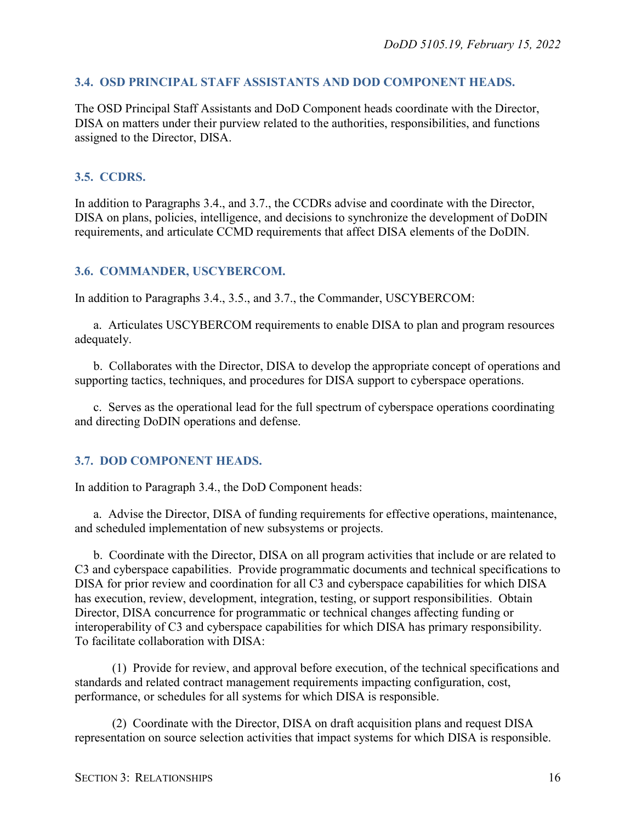#### <span id="page-15-0"></span>**3.4. OSD PRINCIPAL STAFF ASSISTANTS AND DOD COMPONENT HEADS.**

The OSD Principal Staff Assistants and DoD Component heads coordinate with the Director, DISA on matters under their purview related to the authorities, responsibilities, and functions assigned to the Director, DISA.

#### <span id="page-15-1"></span>**3.5. CCDRS.**

In addition to Paragraphs 3.4., and 3.7., the CCDRs advise and coordinate with the Director, DISA on plans, policies, intelligence, and decisions to synchronize the development of DoDIN requirements, and articulate CCMD requirements that affect DISA elements of the DoDIN.

#### <span id="page-15-2"></span>**3.6. COMMANDER, USCYBERCOM.**

In addition to Paragraphs 3.4., 3.5., and 3.7., the Commander, USCYBERCOM:

a. Articulates USCYBERCOM requirements to enable DISA to plan and program resources adequately.

b. Collaborates with the Director, DISA to develop the appropriate concept of operations and supporting tactics, techniques, and procedures for DISA support to cyberspace operations.

c. Serves as the operational lead for the full spectrum of cyberspace operations coordinating and directing DoDIN operations and defense.

#### <span id="page-15-3"></span>**3.7. DOD COMPONENT HEADS.**

In addition to Paragraph 3.4., the DoD Component heads:

a. Advise the Director, DISA of funding requirements for effective operations, maintenance, and scheduled implementation of new subsystems or projects.

b. Coordinate with the Director, DISA on all program activities that include or are related to C3 and cyberspace capabilities. Provide programmatic documents and technical specifications to DISA for prior review and coordination for all C3 and cyberspace capabilities for which DISA has execution, review, development, integration, testing, or support responsibilities. Obtain Director, DISA concurrence for programmatic or technical changes affecting funding or interoperability of C3 and cyberspace capabilities for which DISA has primary responsibility. To facilitate collaboration with DISA:

(1) Provide for review, and approval before execution, of the technical specifications and standards and related contract management requirements impacting configuration, cost, performance, or schedules for all systems for which DISA is responsible.

(2) Coordinate with the Director, DISA on draft acquisition plans and request DISA representation on source selection activities that impact systems for which DISA is responsible.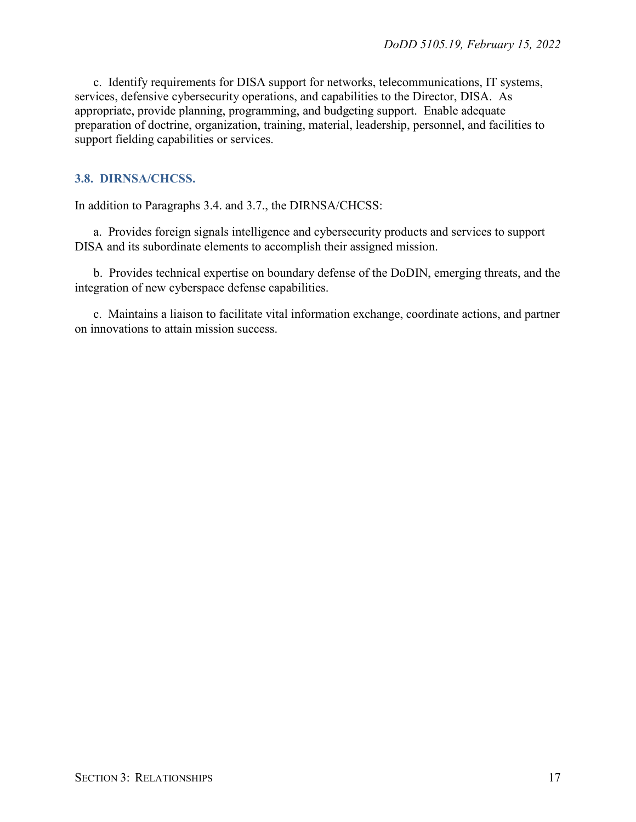c. Identify requirements for DISA support for networks, telecommunications, IT systems, services, defensive cybersecurity operations, and capabilities to the Director, DISA. As appropriate, provide planning, programming, and budgeting support. Enable adequate preparation of doctrine, organization, training, material, leadership, personnel, and facilities to support fielding capabilities or services.

#### <span id="page-16-0"></span>**3.8. DIRNSA/CHCSS.**

In addition to Paragraphs 3.4. and 3.7., the DIRNSA/CHCSS:

a. Provides foreign signals intelligence and cybersecurity products and services to support DISA and its subordinate elements to accomplish their assigned mission.

b. Provides technical expertise on boundary defense of the DoDIN, emerging threats, and the integration of new cyberspace defense capabilities.

c. Maintains a liaison to facilitate vital information exchange, coordinate actions, and partner on innovations to attain mission success.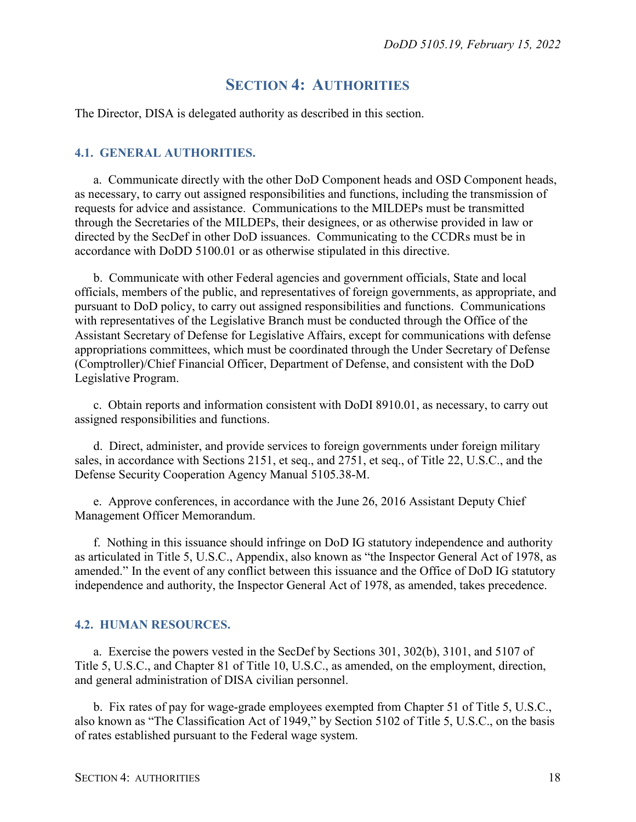### **SECTION 4: AUTHORITIES**

<span id="page-17-0"></span>The Director, DISA is delegated authority as described in this section.

#### <span id="page-17-1"></span>**4.1. GENERAL AUTHORITIES.**

a. Communicate directly with the other DoD Component heads and OSD Component heads, as necessary, to carry out assigned responsibilities and functions, including the transmission of requests for advice and assistance. Communications to the MILDEPs must be transmitted through the Secretaries of the MILDEPs, their designees, or as otherwise provided in law or directed by the SecDef in other DoD issuances. Communicating to the CCDRs must be in accordance with DoDD 5100.01 or as otherwise stipulated in this directive.

b. Communicate with other Federal agencies and government officials, State and local officials, members of the public, and representatives of foreign governments, as appropriate, and pursuant to DoD policy, to carry out assigned responsibilities and functions. Communications with representatives of the Legislative Branch must be conducted through the Office of the Assistant Secretary of Defense for Legislative Affairs, except for communications with defense appropriations committees, which must be coordinated through the Under Secretary of Defense (Comptroller)/Chief Financial Officer, Department of Defense, and consistent with the DoD Legislative Program.

c. Obtain reports and information consistent with DoDI 8910.01, as necessary, to carry out assigned responsibilities and functions.

d. Direct, administer, and provide services to foreign governments under foreign military sales, in accordance with Sections 2151, et seq., and 2751, et seq., of Title 22, U.S.C., and the Defense Security Cooperation Agency Manual 5105.38-M.

e. Approve conferences, in accordance with the June 26, 2016 Assistant Deputy Chief Management Officer Memorandum.

f. Nothing in this issuance should infringe on DoD IG statutory independence and authority as articulated in Title 5, U.S.C., Appendix, also known as "the Inspector General Act of 1978, as amended." In the event of any conflict between this issuance and the Office of DoD IG statutory independence and authority, the Inspector General Act of 1978, as amended, takes precedence.

#### <span id="page-17-2"></span>**4.2. HUMAN RESOURCES.**

a. Exercise the powers vested in the SecDef by Sections 301, 302(b), 3101, and 5107 of Title 5, U.S.C., and Chapter 81 of Title 10, U.S.C., as amended, on the employment, direction, and general administration of DISA civilian personnel.

b. Fix rates of pay for wage-grade employees exempted from Chapter 51 of Title 5, U.S.C., also known as "The Classification Act of 1949," by Section 5102 of Title 5, U.S.C., on the basis of rates established pursuant to the Federal wage system.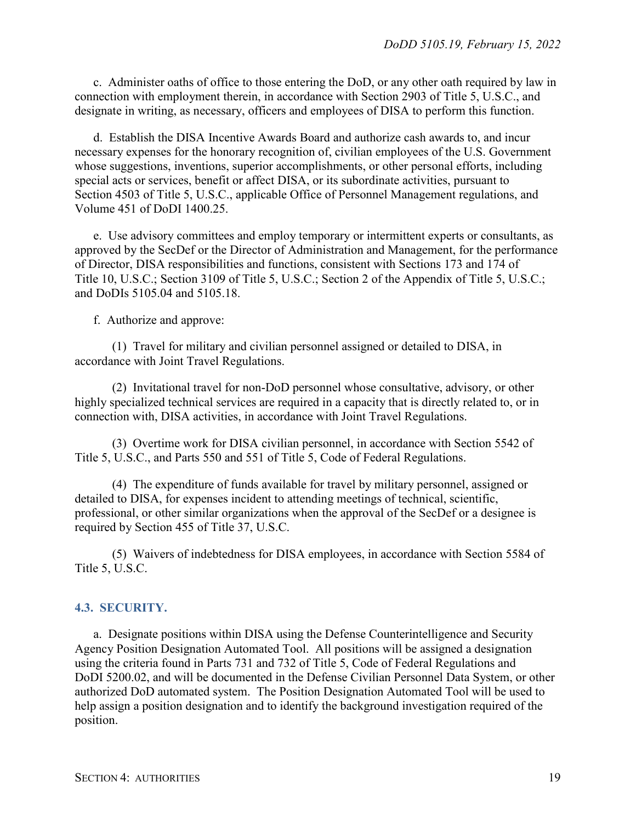c. Administer oaths of office to those entering the DoD, or any other oath required by law in connection with employment therein, in accordance with Section 2903 of Title 5, U.S.C., and designate in writing, as necessary, officers and employees of DISA to perform this function.

d. Establish the DISA Incentive Awards Board and authorize cash awards to, and incur necessary expenses for the honorary recognition of, civilian employees of the U.S. Government whose suggestions, inventions, superior accomplishments, or other personal efforts, including special acts or services, benefit or affect DISA, or its subordinate activities, pursuant to Section 4503 of Title 5, U.S.C., applicable Office of Personnel Management regulations, and Volume 451 of DoDI 1400.25.

e. Use advisory committees and employ temporary or intermittent experts or consultants, as approved by the SecDef or the Director of Administration and Management, for the performance of Director, DISA responsibilities and functions, consistent with Sections 173 and 174 of Title 10, U.S.C.; Section 3109 of Title 5, U.S.C.; Section 2 of the Appendix of Title 5, U.S.C.; and DoDIs 5105.04 and 5105.18.

f. Authorize and approve:

(1) Travel for military and civilian personnel assigned or detailed to DISA, in accordance with Joint Travel Regulations.

(2) Invitational travel for non-DoD personnel whose consultative, advisory, or other highly specialized technical services are required in a capacity that is directly related to, or in connection with, DISA activities, in accordance with Joint Travel Regulations.

(3) Overtime work for DISA civilian personnel, in accordance with Section 5542 of Title 5, U.S.C., and Parts 550 and 551 of Title 5, Code of Federal Regulations.

(4) The expenditure of funds available for travel by military personnel, assigned or detailed to DISA, for expenses incident to attending meetings of technical, scientific, professional, or other similar organizations when the approval of the SecDef or a designee is required by Section 455 of Title 37, U.S.C.

(5) Waivers of indebtedness for DISA employees, in accordance with Section 5584 of Title 5, U.S.C.

#### <span id="page-18-0"></span>**4.3. SECURITY.**

a. Designate positions within DISA using the Defense Counterintelligence and Security Agency Position Designation Automated Tool. All positions will be assigned a designation using the criteria found in Parts 731 and 732 of Title 5, Code of Federal Regulations and DoDI 5200.02, and will be documented in the Defense Civilian Personnel Data System, or other authorized DoD automated system. The Position Designation Automated Tool will be used to help assign a position designation and to identify the background investigation required of the position.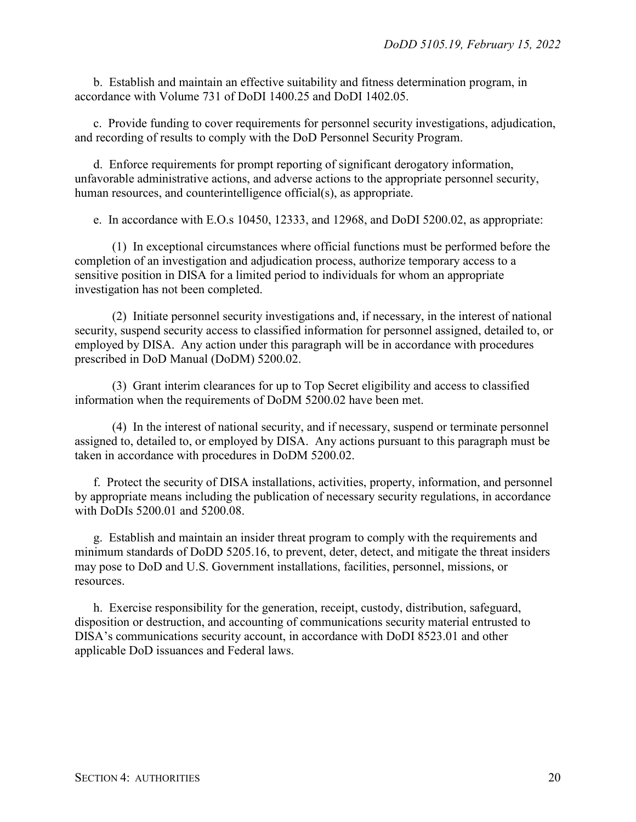b. Establish and maintain an effective suitability and fitness determination program, in accordance with Volume 731 of DoDI 1400.25 and DoDI 1402.05.

c. Provide funding to cover requirements for personnel security investigations, adjudication, and recording of results to comply with the DoD Personnel Security Program.

d. Enforce requirements for prompt reporting of significant derogatory information, unfavorable administrative actions, and adverse actions to the appropriate personnel security, human resources, and counterintelligence official(s), as appropriate.

e. In accordance with E.O.s 10450, 12333, and 12968, and DoDI 5200.02, as appropriate:

(1) In exceptional circumstances where official functions must be performed before the completion of an investigation and adjudication process, authorize temporary access to a sensitive position in DISA for a limited period to individuals for whom an appropriate investigation has not been completed.

(2) Initiate personnel security investigations and, if necessary, in the interest of national security, suspend security access to classified information for personnel assigned, detailed to, or employed by DISA. Any action under this paragraph will be in accordance with procedures prescribed in DoD Manual (DoDM) 5200.02.

(3) Grant interim clearances for up to Top Secret eligibility and access to classified information when the requirements of DoDM 5200.02 have been met.

(4) In the interest of national security, and if necessary, suspend or terminate personnel assigned to, detailed to, or employed by DISA. Any actions pursuant to this paragraph must be taken in accordance with procedures in DoDM 5200.02.

f. Protect the security of DISA installations, activities, property, information, and personnel by appropriate means including the publication of necessary security regulations, in accordance with DoDIs 5200.01 and 5200.08.

g. Establish and maintain an insider threat program to comply with the requirements and minimum standards of DoDD 5205.16, to prevent, deter, detect, and mitigate the threat insiders may pose to DoD and U.S. Government installations, facilities, personnel, missions, or resources.

h. Exercise responsibility for the generation, receipt, custody, distribution, safeguard, disposition or destruction, and accounting of communications security material entrusted to DISA's communications security account, in accordance with DoDI 8523.01 and other applicable DoD issuances and Federal laws.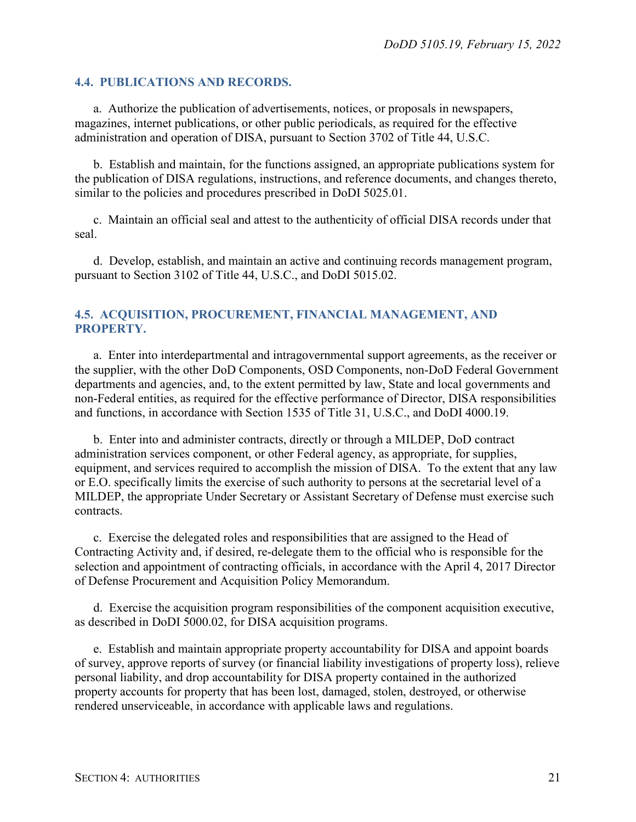#### <span id="page-20-0"></span>**4.4. PUBLICATIONS AND RECORDS.**

a. Authorize the publication of advertisements, notices, or proposals in newspapers, magazines, internet publications, or other public periodicals, as required for the effective administration and operation of DISA, pursuant to Section 3702 of Title 44, U.S.C.

b. Establish and maintain, for the functions assigned, an appropriate publications system for the publication of DISA regulations, instructions, and reference documents, and changes thereto, similar to the policies and procedures prescribed in DoDI 5025.01.

c. Maintain an official seal and attest to the authenticity of official DISA records under that seal.

d. Develop, establish, and maintain an active and continuing records management program, pursuant to Section 3102 of Title 44, U.S.C., and DoDI 5015.02.

#### <span id="page-20-1"></span>**4.5. ACQUISITION, PROCUREMENT, FINANCIAL MANAGEMENT, AND PROPERTY.**

a. Enter into interdepartmental and intragovernmental support agreements, as the receiver or the supplier, with the other DoD Components, OSD Components, non-DoD Federal Government departments and agencies, and, to the extent permitted by law, State and local governments and non-Federal entities, as required for the effective performance of Director, DISA responsibilities and functions, in accordance with Section 1535 of Title 31, U.S.C., and DoDI 4000.19.

b. Enter into and administer contracts, directly or through a MILDEP, DoD contract administration services component, or other Federal agency, as appropriate, for supplies, equipment, and services required to accomplish the mission of DISA. To the extent that any law or E.O. specifically limits the exercise of such authority to persons at the secretarial level of a MILDEP, the appropriate Under Secretary or Assistant Secretary of Defense must exercise such contracts.

c. Exercise the delegated roles and responsibilities that are assigned to the Head of Contracting Activity and, if desired, re-delegate them to the official who is responsible for the selection and appointment of contracting officials, in accordance with the April 4, 2017 Director of Defense Procurement and Acquisition Policy Memorandum.

d. Exercise the acquisition program responsibilities of the component acquisition executive, as described in DoDI 5000.02, for DISA acquisition programs.

e. Establish and maintain appropriate property accountability for DISA and appoint boards of survey, approve reports of survey (or financial liability investigations of property loss), relieve personal liability, and drop accountability for DISA property contained in the authorized property accounts for property that has been lost, damaged, stolen, destroyed, or otherwise rendered unserviceable, in accordance with applicable laws and regulations.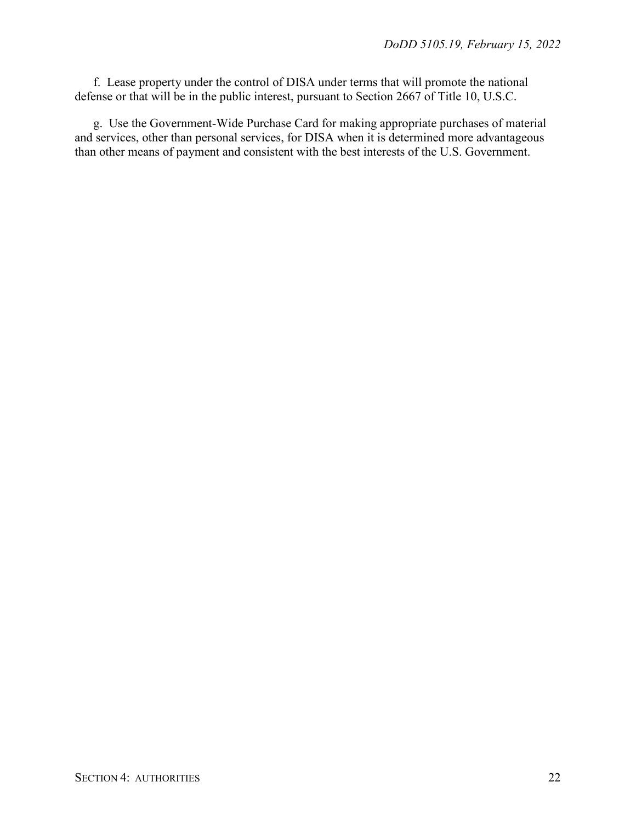f. Lease property under the control of DISA under terms that will promote the national defense or that will be in the public interest, pursuant to Section 2667 of Title 10, U.S.C.

g. Use the Government-Wide Purchase Card for making appropriate purchases of material and services, other than personal services, for DISA when it is determined more advantageous than other means of payment and consistent with the best interests of the U.S. Government.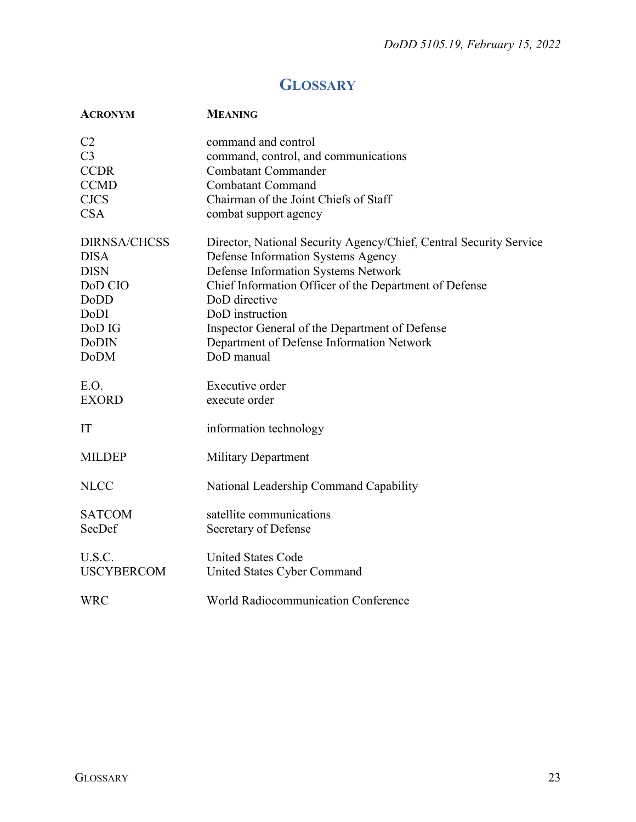## **GLOSSARY**

<span id="page-22-0"></span>

| <b>ACRONYM</b>      | <b>MEANING</b>                                                     |
|---------------------|--------------------------------------------------------------------|
| C2                  | command and control                                                |
| C <sub>3</sub>      | command, control, and communications                               |
| <b>CCDR</b>         | <b>Combatant Commander</b>                                         |
| <b>CCMD</b>         | <b>Combatant Command</b>                                           |
| <b>CJCS</b>         | Chairman of the Joint Chiefs of Staff                              |
| <b>CSA</b>          | combat support agency                                              |
| <b>DIRNSA/CHCSS</b> | Director, National Security Agency/Chief, Central Security Service |
| <b>DISA</b>         | Defense Information Systems Agency                                 |
| <b>DISN</b>         | Defense Information Systems Network                                |
| DoD CIO             | Chief Information Officer of the Department of Defense             |
| DoDD                | DoD directive                                                      |
| DoDI                | DoD instruction                                                    |
| DoD IG              | Inspector General of the Department of Defense                     |
| <b>DoDIN</b>        | Department of Defense Information Network                          |
| <b>DoDM</b>         | DoD manual                                                         |
| E.O.                | Executive order                                                    |
| <b>EXORD</b>        | execute order                                                      |
| IT                  | information technology                                             |
| <b>MILDEP</b>       | <b>Military Department</b>                                         |
| <b>NLCC</b>         | National Leadership Command Capability                             |
| <b>SATCOM</b>       | satellite communications                                           |
| SecDef              | Secretary of Defense                                               |
| U.S.C.              | <b>United States Code</b>                                          |
| <b>USCYBERCOM</b>   | United States Cyber Command                                        |
| <b>WRC</b>          | <b>World Radiocommunication Conference</b>                         |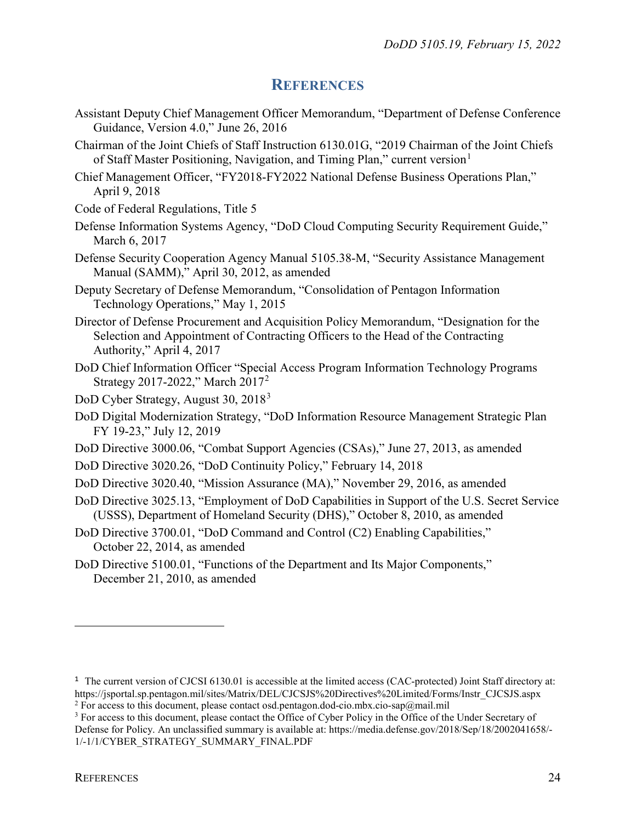### **REFERENCES**

- <span id="page-23-0"></span>Assistant Deputy Chief Management Officer Memorandum, "Department of Defense Conference Guidance, Version 4.0," June 26, 2016
- Chairman of the Joint Chiefs of Staff Instruction 6130.01G, "2019 Chairman of the Joint Chiefs of Staff Master Positioning, Navigation, and Timing Plan," current version<sup>[1](#page-23-1)</sup>
- Chief Management Officer, "FY2018-FY2022 National Defense Business Operations Plan," April 9, 2018
- Code of Federal Regulations, Title 5
- Defense Information Systems Agency, "DoD Cloud Computing Security Requirement Guide," March 6, 2017
- Defense Security Cooperation Agency Manual 5105.38-M, "Security Assistance Management Manual (SAMM)," April 30, 2012, as amended
- Deputy Secretary of Defense Memorandum, "Consolidation of Pentagon Information Technology Operations," May 1, 2015

Director of Defense Procurement and Acquisition Policy Memorandum, "Designation for the Selection and Appointment of Contracting Officers to the Head of the Contracting Authority," April 4, 2017

- DoD Chief Information Officer "Special Access Program Information Technology Programs Strategy 2017-2022," March 2017[2](#page-23-2)
- DoD Cyber Strategy, August [3](#page-23-3)0, 2018<sup>3</sup>
- DoD Digital Modernization Strategy, "DoD Information Resource Management Strategic Plan FY 19-23," July 12, 2019
- DoD Directive 3000.06, "Combat Support Agencies (CSAs)," June 27, 2013, as amended
- DoD Directive 3020.26, "DoD Continuity Policy," February 14, 2018
- DoD Directive 3020.40, "Mission Assurance (MA)," November 29, 2016, as amended
- DoD Directive 3025.13, "Employment of DoD Capabilities in Support of the U.S. Secret Service (USSS), Department of Homeland Security (DHS)," October 8, 2010, as amended
- DoD Directive 3700.01, "DoD Command and Control (C2) Enabling Capabilities," October 22, 2014, as amended
- DoD Directive 5100.01, "Functions of the Department and Its Major Components," December 21, 2010, as amended

 $\overline{a}$ 

<span id="page-23-1"></span><sup>&</sup>lt;sup>1</sup> The current version of CJCSI 6130.01 is accessible at the limited access (CAC-protected) Joint Staff directory at: https://jsportal.sp.pentagon.mil/sites/Matrix/DEL/CJCSJS%20Directives%20Limited/Forms/Instr\_CJCSJS.aspx <sup>2</sup> For access to this document, please contact osd.pentagon.dod-cio.mbx.cio-sap $@$ mail.mil

<span id="page-23-3"></span><span id="page-23-2"></span><sup>&</sup>lt;sup>3</sup> For access to this document, please contact the Office of Cyber Policy in the Office of the Under Secretary of Defense for Policy. An unclassified summary is available at: https://media.defense.gov/2018/Sep/18/2002041658/- 1/-1/1/CYBER\_STRATEGY\_SUMMARY\_FINAL.PDF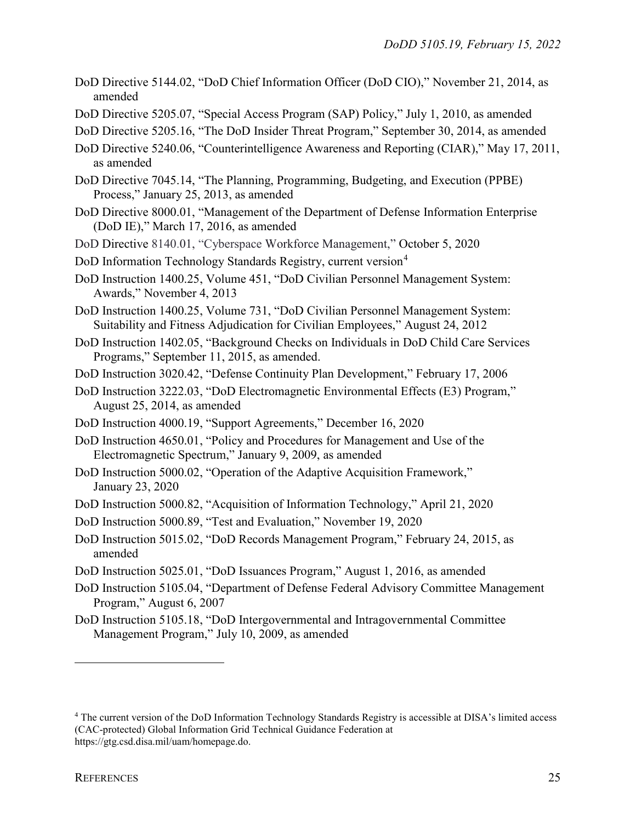- DoD Directive 5144.02, "DoD Chief Information Officer (DoD CIO)," November 21, 2014, as amended
- DoD Directive 5205.07, "Special Access Program (SAP) Policy," July 1, 2010, as amended
- DoD Directive 5205.16, "The DoD Insider Threat Program," September 30, 2014, as amended
- DoD Directive 5240.06, "Counterintelligence Awareness and Reporting (CIAR)," May 17, 2011, as amended
- DoD Directive 7045.14, "The Planning, Programming, Budgeting, and Execution (PPBE) Process," January 25, 2013, as amended
- DoD Directive 8000.01, "Management of the Department of Defense Information Enterprise (DoD IE)," March 17, 2016, as amended
- DoD Directive 8140.01, "Cyberspace Workforce Management," October 5, 2020
- DoD Information Technology Standards Registry, current version<sup>[4](#page-24-0)</sup>
- DoD Instruction 1400.25, Volume 451, "DoD Civilian Personnel Management System: Awards," November 4, 2013
- DoD Instruction 1400.25, Volume 731, "DoD Civilian Personnel Management System: Suitability and Fitness Adjudication for Civilian Employees," August 24, 2012
- DoD Instruction 1402.05, "Background Checks on Individuals in DoD Child Care Services Programs," September 11, 2015, as amended.
- DoD Instruction 3020.42, "Defense Continuity Plan Development," February 17, 2006
- DoD Instruction 3222.03, "DoD Electromagnetic Environmental Effects (E3) Program," August 25, 2014, as amended
- DoD Instruction 4000.19, "Support Agreements," December 16, 2020
- DoD Instruction 4650.01, "Policy and Procedures for Management and Use of the Electromagnetic Spectrum," January 9, 2009, as amended
- DoD Instruction 5000.02, "Operation of the Adaptive Acquisition Framework," January 23, 2020
- DoD Instruction 5000.82, "Acquisition of Information Technology," April 21, 2020
- DoD Instruction 5000.89, "Test and Evaluation," November 19, 2020
- DoD Instruction 5015.02, "DoD Records Management Program," February 24, 2015, as amended
- DoD Instruction 5025.01, "DoD Issuances Program," August 1, 2016, as amended
- DoD Instruction 5105.04, "Department of Defense Federal Advisory Committee Management Program," August 6, 2007
- DoD Instruction 5105.18, "DoD Intergovernmental and Intragovernmental Committee Management Program," July 10, 2009, as amended

 $\overline{a}$ 

<span id="page-24-0"></span><sup>4</sup> The current version of the DoD Information Technology Standards Registry is accessible at DISA's limited access (CAC-protected) Global Information Grid Technical Guidance Federation at https://gtg.csd.disa.mil/uam/homepage.do.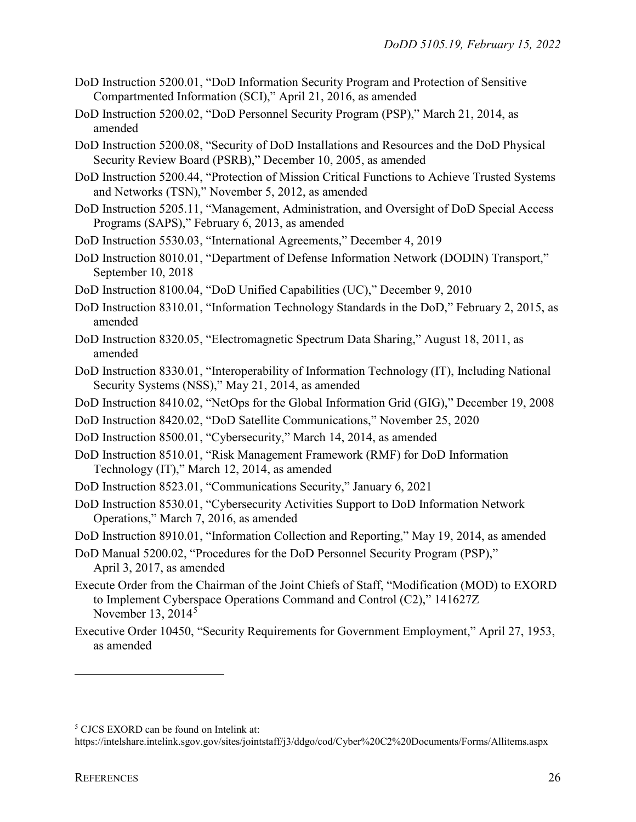- DoD Instruction 5200.01, "DoD Information Security Program and Protection of Sensitive Compartmented Information (SCI)," April 21, 2016, as amended
- DoD Instruction 5200.02, "DoD Personnel Security Program (PSP)," March 21, 2014, as amended
- DoD Instruction 5200.08, "Security of DoD Installations and Resources and the DoD Physical Security Review Board (PSRB)," December 10, 2005, as amended
- DoD Instruction 5200.44, "Protection of Mission Critical Functions to Achieve Trusted Systems and Networks (TSN)," November 5, 2012, as amended
- DoD Instruction 5205.11, "Management, Administration, and Oversight of DoD Special Access Programs (SAPS)," February 6, 2013, as amended
- DoD Instruction 5530.03, "International Agreements," December 4, 2019
- DoD Instruction 8010.01, "Department of Defense Information Network (DODIN) Transport," September 10, 2018
- DoD Instruction 8100.04, "DoD Unified Capabilities (UC)," December 9, 2010
- DoD Instruction 8310.01, "Information Technology Standards in the DoD," February 2, 2015, as amended
- DoD Instruction 8320.05, "Electromagnetic Spectrum Data Sharing," August 18, 2011, as amended
- DoD Instruction 8330.01, "Interoperability of Information Technology (IT), Including National Security Systems (NSS)," May 21, 2014, as amended
- DoD Instruction 8410.02, "NetOps for the Global Information Grid (GIG)," December 19, 2008
- DoD Instruction 8420.02, "DoD Satellite Communications," November 25, 2020
- DoD Instruction 8500.01, "Cybersecurity," March 14, 2014, as amended
- DoD Instruction 8510.01, "Risk Management Framework (RMF) for DoD Information Technology (IT)," March 12, 2014, as amended
- DoD Instruction 8523.01, "Communications Security," January 6, 2021
- DoD Instruction 8530.01, "Cybersecurity Activities Support to DoD Information Network Operations," March 7, 2016, as amended
- DoD Instruction 8910.01, "Information Collection and Reporting," May 19, 2014, as amended
- DoD Manual 5200.02, "Procedures for the DoD Personnel Security Program (PSP)," April 3, 2017, as amended
- Execute Order from the Chairman of the Joint Chiefs of Staff, "Modification (MOD) to EXORD to Implement Cyberspace Operations Command and Control (C2)," 141627Z November 13,  $2014<sup>5</sup>$  $2014<sup>5</sup>$  $2014<sup>5</sup>$
- Executive Order 10450, "Security Requirements for Government Employment," April 27, 1953, as amended

 $\overline{a}$ 

<span id="page-25-0"></span><sup>5</sup> CJCS EXORD can be found on Intelink at:

https://intelshare.intelink.sgov.gov/sites/jointstaff/j3/ddgo/cod/Cyber%20C2%20Documents/Forms/Allitems.aspx